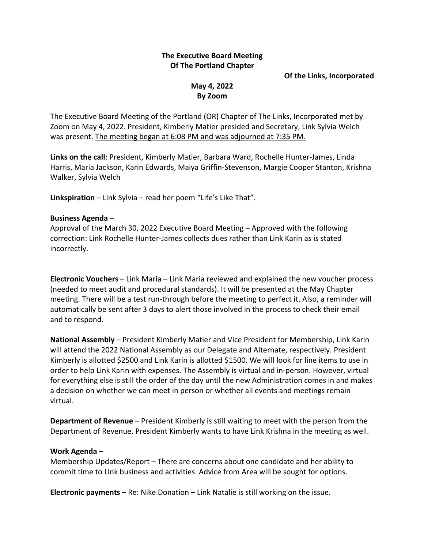# **The Executive Board Meeting Of The Portland Chapter**

#### **Of the Links, Incorporated**

## **May 4, 2022 By Zoom**

The Executive Board Meeting of the Portland (OR) Chapter of The Links, Incorporated met by Zoom on May 4, 2022. President, Kimberly Matier presided and Secretary, Link Sylvia Welch was present. The meeting began at 6:08 PM and was adjourned at 7:35 PM.

**Links on the call**: President, Kimberly Matier, Barbara Ward, Rochelle Hunter-James, Linda Harris, Maria Jackson, Karin Edwards, Maiya Griffin-Stevenson, Margie Cooper Stanton, Krishna Walker, Sylvia Welch

**Linkspiration** – Link Sylvia – read her poem "Life's Like That".

### **Business Agenda** –

Approval of the March 30, 2022 Executive Board Meeting – Approved with the following correction: Link Rochelle Hunter-James collects dues rather than Link Karin as is stated incorrectly.

**Electronic Vouchers** – Link Maria – Link Maria reviewed and explained the new voucher process (needed to meet audit and procedural standards). It will be presented at the May Chapter meeting. There will be a test run-through before the meeting to perfect it. Also, a reminder will automatically be sent after 3 days to alert those involved in the process to check their email and to respond.

**National Assembly** – President Kimberly Matier and Vice President for Membership, Link Karin will attend the 2022 National Assembly as our Delegate and Alternate, respectively. President Kimberly is allotted \$2500 and Link Karin is allotted \$1500. We will look for line items to use in order to help Link Karin with expenses. The Assembly is virtual and in-person. However, virtual for everything else is still the order of the day until the new Administration comes in and makes a decision on whether we can meet in person or whether all events and meetings remain virtual.

**Department of Revenue** – President Kimberly is still waiting to meet with the person from the Department of Revenue. President Kimberly wants to have Link Krishna in the meeting as well.

### **Work Agenda** –

Membership Updates/Report – There are concerns about one candidate and her ability to commit time to Link business and activities. Advice from Area will be sought for options.

**Electronic payments** – Re: Nike Donation – Link Natalie is still working on the issue.